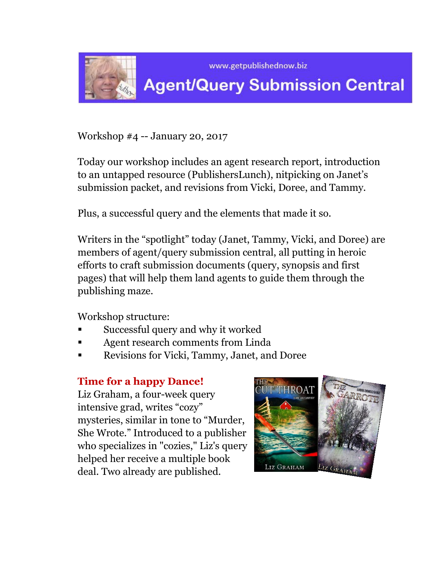

Workshop #4 -- January 20, 2017

Today our workshop includes an agent research report, introduction to an untapped resource (PublishersLunch), nitpicking on Janet's submission packet, and revisions from Vicki, Doree, and Tammy.

Plus, a successful query and the elements that made it so.

Writers in the "spotlight" today (Janet, Tammy, Vicki, and Doree) are members of agent/query submission central, all putting in heroic efforts to craft submission documents (query, synopsis and first pages) that will help them land agents to guide them through the publishing maze.

Workshop structure:

- Successful query and why it worked
- Agent research comments from Linda
- Revisions for Vicki, Tammy, Janet, and Doree

# **Time for a happy Dance!**

Liz Graham, a four-week query intensive grad, writes "cozy" mysteries, similar in tone to "Murder, She Wrote." Introduced to a publisher who specializes in "cozies," Liz's query helped her receive a multiple book deal. Two already are published.

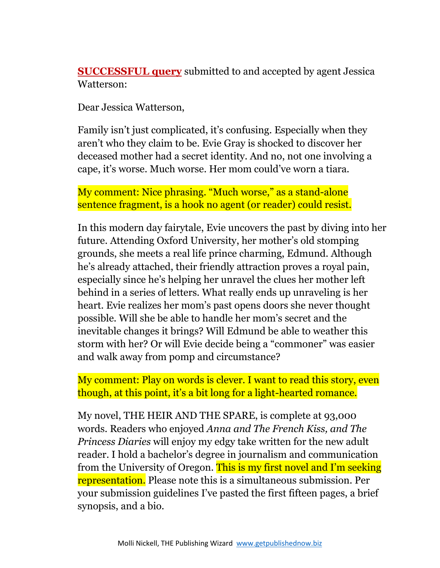**SUCCESSFUL query** submitted to and accepted by agent Jessica Watterson:

Dear Jessica Watterson,

Family isn't just complicated, it's confusing. Especially when they aren't who they claim to be. Evie Gray is shocked to discover her deceased mother had a secret identity. And no, not one involving a cape, it's worse. Much worse. Her mom could've worn a tiara.

My comment: Nice phrasing. "Much worse," as a stand-alone sentence fragment, is a hook no agent (or reader) could resist.

In this modern day fairytale, Evie uncovers the past by diving into her future. Attending Oxford University, her mother's old stomping grounds, she meets a real life prince charming, Edmund. Although he's already attached, their friendly attraction proves a royal pain, especially since he's helping her unravel the clues her mother left behind in a series of letters. What really ends up unraveling is her heart. Evie realizes her mom's past opens doors she never thought possible. Will she be able to handle her mom's secret and the inevitable changes it brings? Will Edmund be able to weather this storm with her? Or will Evie decide being a "commoner" was easier and walk away from pomp and circumstance?

My comment: Play on words is clever. I want to read this story, even though, at this point, it's a bit long for a light-hearted romance.

My novel, THE HEIR AND THE SPARE, is complete at 93,000 words. Readers who enjoyed *Anna and The French Kiss, and The Princess Diaries* will enjoy my edgy take written for the new adult reader. I hold a bachelor's degree in journalism and communication from the University of Oregon. This is my first novel and I'm seeking representation. Please note this is a simultaneous submission. Per your submission guidelines I've pasted the first fifteen pages, a brief synopsis, and a bio.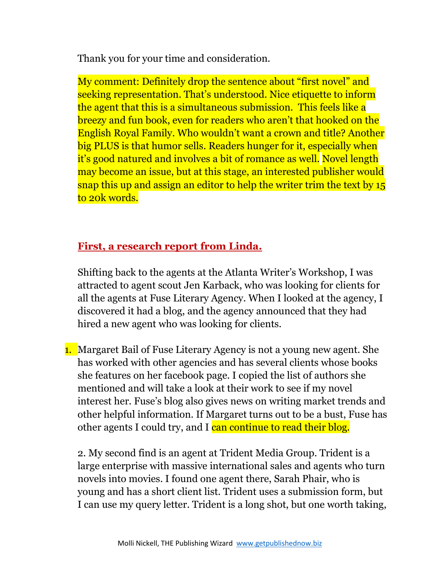Thank you for your time and consideration.

My comment: Definitely drop the sentence about "first novel" and seeking representation. That's understood. Nice etiquette to inform the agent that this is a simultaneous submission. This feels like a breezy and fun book, even for readers who aren't that hooked on the English Royal Family. Who wouldn't want a crown and title? Another big PLUS is that humor sells. Readers hunger for it, especially when it's good natured and involves a bit of romance as well. Novel length may become an issue, but at this stage, an interested publisher would snap this up and assign an editor to help the writer trim the text by 15 to 20k words.

# **First, a research report from Linda.**

Shifting back to the agents at the Atlanta Writer's Workshop, I was attracted to agent scout Jen Karback, who was looking for clients for all the agents at Fuse Literary Agency. When I looked at the agency, I discovered it had a blog, and the agency announced that they had hired a new agent who was looking for clients.

1. Margaret Bail of Fuse Literary Agency is not a young new agent. She has worked with other agencies and has several clients whose books she features on her facebook page. I copied the list of authors she mentioned and will take a look at their work to see if my novel interest her. Fuse's blog also gives news on writing market trends and other helpful information. If Margaret turns out to be a bust, Fuse has other agents I could try, and I can continue to read their blog.

2. My second find is an agent at Trident Media Group. Trident is a large enterprise with massive international sales and agents who turn novels into movies. I found one agent there, Sarah Phair, who is young and has a short client list. Trident uses a submission form, but I can use my query letter. Trident is a long shot, but one worth taking,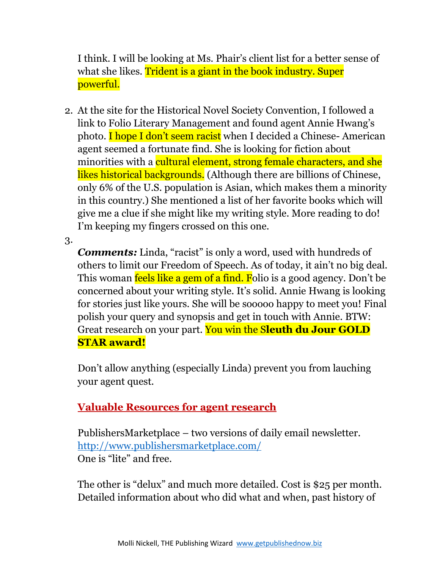I think. I will be looking at Ms. Phair's client list for a better sense of what she likes. Trident is a giant in the book industry. Super powerful.

2. At the site for the Historical Novel Society Convention, I followed a link to Folio Literary Management and found agent Annie Hwang's photo. I hope I don't seem racist when I decided a Chinese- American agent seemed a fortunate find. She is looking for fiction about minorities with a cultural element, strong female characters, and she likes historical backgrounds. (Although there are billions of Chinese, only 6% of the U.S. population is Asian, which makes them a minority in this country.) She mentioned a list of her favorite books which will give me a clue if she might like my writing style. More reading to do! I'm keeping my fingers crossed on this one.

3.

*Comments:* Linda, "racist" is only a word, used with hundreds of others to limit our Freedom of Speech. As of today, it ain't no big deal. This woman feels like a gem of a find. Folio is a good agency. Don't be concerned about your writing style. It's solid. Annie Hwang is looking for stories just like yours. She will be sooooo happy to meet you! Final polish your query and synopsis and get in touch with Annie. BTW: Great research on your part. You win the S**leuth du Jour GOLD STAR award!**

Don't allow anything (especially Linda) prevent you from lauching your agent quest.

# **Valuable Resources for agent research**

PublishersMarketplace – two versions of daily email newsletter. <http://www.publishersmarketplace.com/> One is "lite" and free.

The other is "delux" and much more detailed. Cost is \$25 per month. Detailed information about who did what and when, past history of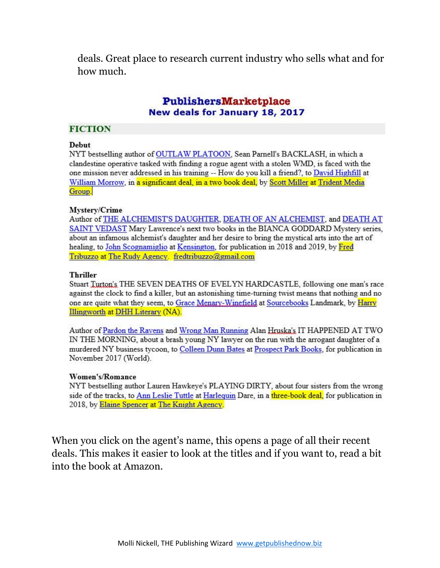deals. Great place to research current industry who sells what and for how much.

#### PublishersMarketplace New deals for January 18, 2017

#### **FICTION**

#### **Debut**

NYT bestselling author of OUTLAW PLATOON, Sean Parnell's BACKLASH, in which a clandestine operative tasked with finding a rogue agent with a stolen WMD, is faced with the one mission never addressed in his training -- How do you kill a friend?, to David Highfill at William Morrow, in a significant deal, in a two book deal, by Scott Miller at Trident Media Group.

#### Mystery/Crime

Author of THE ALCHEMIST'S DAUGHTER, DEATH OF AN ALCHEMIST, and DEATH AT SAINT VEDAST Mary Lawrence's next two books in the BIANCA GODDARD Mystery series, about an infamous alchemist's daughter and her desire to bring the mystical arts into the art of healing, to John Scognamiglio at Kensington, for publication in 2018 and 2019, by Fred Tribuzzo at The Rudy Agency. fredtribuzzo@gmail.com

#### **Thriller**

Stuart Turton's THE SEVEN DEATHS OF EVELYN HARDCASTLE, following one man's race against the clock to find a killer, but an astonishing time-turning twist means that nothing and no one are quite what they seem, to Grace Menary-Winefield at Sourcebooks Landmark, by Harry Illingworth at DHH Literary (NA).

Author of Pardon the Ravens and Wrong Man Running Alan Hruska's IT HAPPENED AT TWO IN THE MORNING, about a brash young NY lawyer on the run with the arrogant daughter of a murdered NY business tycoon, to Colleen Dunn Bates at Prospect Park Books, for publication in November 2017 (World).

#### Women's/Romance

NYT bestselling author Lauren Hawkeye's PLAYING DIRTY, about four sisters from the wrong side of the tracks, to Ann Leslie Tuttle at Harlequin Dare, in a three-book deal, for publication in 2018, by Elaine Spencer at The Knight Agency.

When you click on the agent's name, this opens a page of all their recent deals. This makes it easier to look at the titles and if you want to, read a bit into the book at Amazon.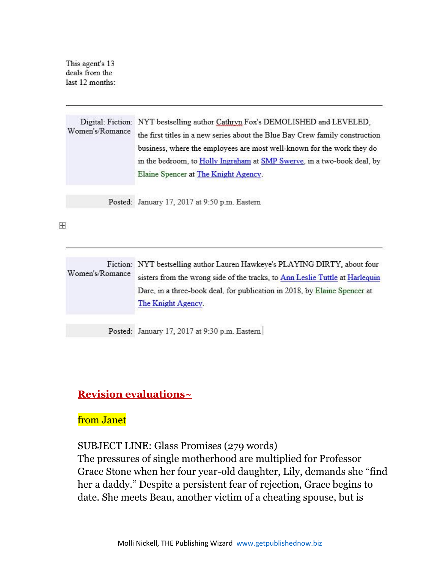This agent's 13 deals from the last 12 months:

Digital: Fiction: NYT bestselling author Cathryn Fox's DEMOLISHED and LEVELED, Women's/Romance the first titles in a new series about the Blue Bay Crew family construction business, where the employees are most well-known for the work they do in the bedroom, to Holly Ingraham at SMP Swerve, in a two-book deal, by Elaine Spencer at The Knight Agency.

Posted: January 17, 2017 at 9:50 p.m. Eastern

 $\ddot{\mathrm{+}}$ 

| Fiction: NYT bestselling author Lauren Hawkeye's PLAYING DIRTY, about four<br>sisters from the wrong side of the tracks, to Ann Leslie Tuttle at Harlequin<br>Dare, in a three-book deal, for publication in 2018, by Elaine Spencer at<br>The Knight Agency. |
|---------------------------------------------------------------------------------------------------------------------------------------------------------------------------------------------------------------------------------------------------------------|
|                                                                                                                                                                                                                                                               |

Posted: January 17, 2017 at 9:30 p.m. Eastern

### **Revision evaluations~**

### from Janet

SUBJECT LINE: Glass Promises (279 words)

The pressures of single motherhood are multiplied for Professor Grace Stone when her four year-old daughter, Lily, demands she "find her a daddy." Despite a persistent fear of rejection, Grace begins to date. She meets Beau, another victim of a cheating spouse, but is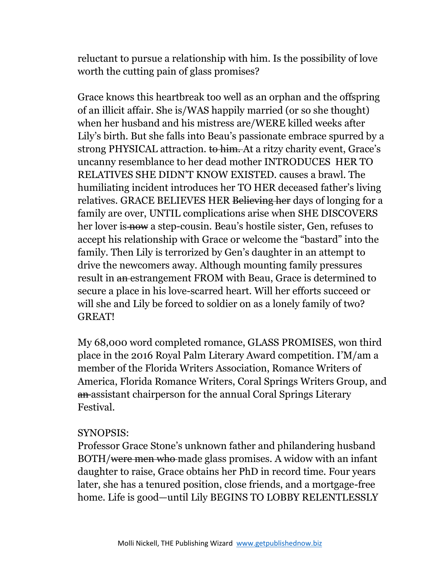reluctant to pursue a relationship with him. Is the possibility of love worth the cutting pain of glass promises?

Grace knows this heartbreak too well as an orphan and the offspring of an illicit affair. She is/WAS happily married (or so she thought) when her husband and his mistress are/WERE killed weeks after Lily's birth. But she falls into Beau's passionate embrace spurred by a strong PHYSICAL attraction. to him. At a ritzy charity event, Grace's uncanny resemblance to her dead mother INTRODUCES HER TO RELATIVES SHE DIDN'T KNOW EXISTED. causes a brawl. The humiliating incident introduces her TO HER deceased father's living relatives. GRACE BELIEVES HER Believing her days of longing for a family are over, UNTIL complications arise when SHE DISCOVERS her lover is now a step-cousin. Beau's hostile sister, Gen, refuses to accept his relationship with Grace or welcome the "bastard" into the family. Then Lily is terrorized by Gen's daughter in an attempt to drive the newcomers away. Although mounting family pressures result in an estrangement FROM with Beau, Grace is determined to secure a place in his love-scarred heart. Will her efforts succeed or will she and Lily be forced to soldier on as a lonely family of two? GREAT!

My 68,000 word completed romance, GLASS PROMISES, won third place in the 2016 Royal Palm Literary Award competition. I'M/am a member of the Florida Writers Association, Romance Writers of America, Florida Romance Writers, Coral Springs Writers Group, and an assistant chairperson for the annual Coral Springs Literary Festival.

### SYNOPSIS:

Professor Grace Stone's unknown father and philandering husband BOTH/were men who made glass promises. A widow with an infant daughter to raise, Grace obtains her PhD in record time. Four years later, she has a tenured position, close friends, and a mortgage-free home. Life is good—until Lily BEGINS TO LOBBY RELENTLESSLY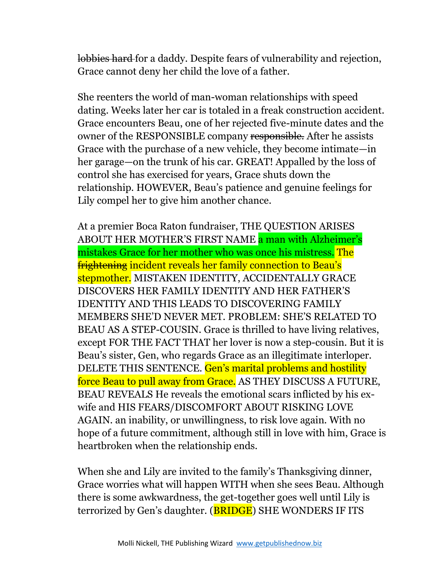lobbies hard for a daddy. Despite fears of vulnerability and rejection, Grace cannot deny her child the love of a father.

She reenters the world of man-woman relationships with speed dating. Weeks later her car is totaled in a freak construction accident. Grace encounters Beau, one of her rejected five-minute dates and the owner of the RESPONSIBLE company responsible. After he assists Grace with the purchase of a new vehicle, they become intimate—in her garage—on the trunk of his car. GREAT! Appalled by the loss of control she has exercised for years, Grace shuts down the relationship. HOWEVER, Beau's patience and genuine feelings for Lily compel her to give him another chance.

At a premier Boca Raton fundraiser, THE QUESTION ARISES ABOUT HER MOTHER'S FIRST NAME a man with Alzheimer's mistakes Grace for her mother who was once his mistress. The frightening incident reveals her family connection to Beau's stepmother. MISTAKEN IDENTITY, ACCIDENTALLY GRACE DISCOVERS HER FAMILY IDENTITY AND HER FATHER'S IDENTITY AND THIS LEADS TO DISCOVERING FAMILY MEMBERS SHE'D NEVER MET. PROBLEM: SHE'S RELATED TO BEAU AS A STEP-COUSIN. Grace is thrilled to have living relatives, except FOR THE FACT THAT her lover is now a step-cousin. But it is Beau's sister, Gen, who regards Grace as an illegitimate interloper. DELETE THIS SENTENCE. Gen's marital problems and hostility force Beau to pull away from Grace. AS THEY DISCUSS A FUTURE, BEAU REVEALS He reveals the emotional scars inflicted by his exwife and HIS FEARS/DISCOMFORT ABOUT RISKING LOVE AGAIN. an inability, or unwillingness, to risk love again. With no hope of a future commitment, although still in love with him, Grace is heartbroken when the relationship ends.

When she and Lily are invited to the family's Thanksgiving dinner, Grace worries what will happen WITH when she sees Beau. Although there is some awkwardness, the get-together goes well until Lily is terrorized by Gen's daughter. (**BRIDGE**) SHE WONDERS IF ITS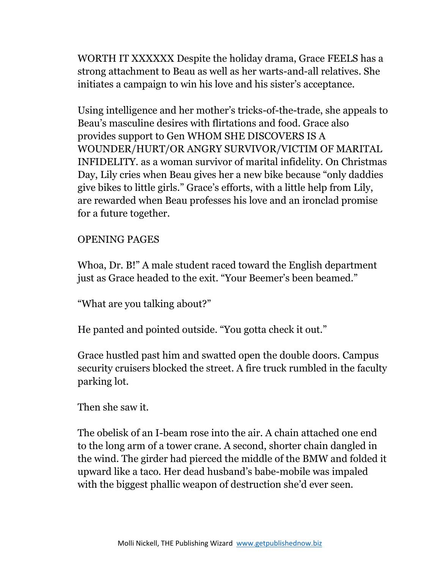WORTH IT XXXXXX Despite the holiday drama, Grace FEELS has a strong attachment to Beau as well as her warts-and-all relatives. She initiates a campaign to win his love and his sister's acceptance.

Using intelligence and her mother's tricks-of-the-trade, she appeals to Beau's masculine desires with flirtations and food. Grace also provides support to Gen WHOM SHE DISCOVERS IS A WOUNDER/HURT/OR ANGRY SURVIVOR/VICTIM OF MARITAL INFIDELITY. as a woman survivor of marital infidelity. On Christmas Day, Lily cries when Beau gives her a new bike because "only daddies give bikes to little girls." Grace's efforts, with a little help from Lily, are rewarded when Beau professes his love and an ironclad promise for a future together.

### OPENING PAGES

Whoa, Dr. B!" A male student raced toward the English department just as Grace headed to the exit. "Your Beemer's been beamed."

"What are you talking about?"

He panted and pointed outside. "You gotta check it out."

Grace hustled past him and swatted open the double doors. Campus security cruisers blocked the street. A fire truck rumbled in the faculty parking lot.

Then she saw it.

The obelisk of an I-beam rose into the air. A chain attached one end to the long arm of a tower crane. A second, shorter chain dangled in the wind. The girder had pierced the middle of the BMW and folded it upward like a taco. Her dead husband's babe-mobile was impaled with the biggest phallic weapon of destruction she'd ever seen.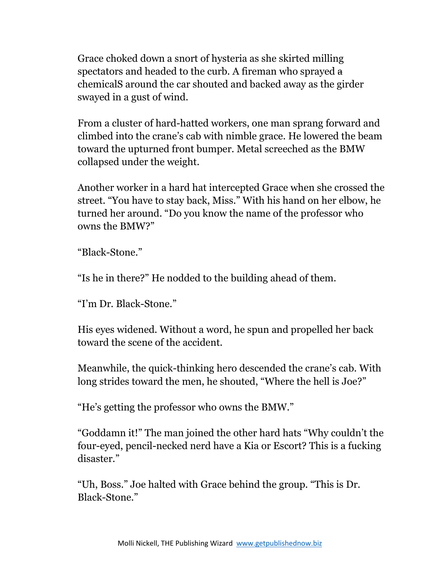Grace choked down a snort of hysteria as she skirted milling spectators and headed to the curb. A fireman who sprayed a chemicalS around the car shouted and backed away as the girder swayed in a gust of wind.

From a cluster of hard-hatted workers, one man sprang forward and climbed into the crane's cab with nimble grace. He lowered the beam toward the upturned front bumper. Metal screeched as the BMW collapsed under the weight.

Another worker in a hard hat intercepted Grace when she crossed the street. "You have to stay back, Miss." With his hand on her elbow, he turned her around. "Do you know the name of the professor who owns the BMW?"

"Black-Stone."

"Is he in there?" He nodded to the building ahead of them.

"I'm Dr. Black-Stone."

His eyes widened. Without a word, he spun and propelled her back toward the scene of the accident.

Meanwhile, the quick-thinking hero descended the crane's cab. With long strides toward the men, he shouted, "Where the hell is Joe?"

"He's getting the professor who owns the BMW."

"Goddamn it!" The man joined the other hard hats "Why couldn't the four-eyed, pencil-necked nerd have a Kia or Escort? This is a fucking disaster."

"Uh, Boss." Joe halted with Grace behind the group. "This is Dr. Black-Stone."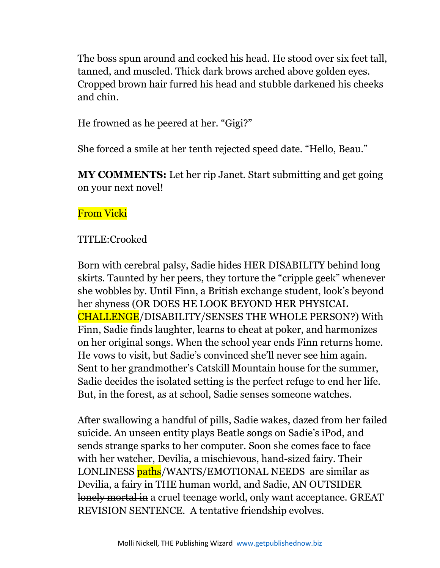The boss spun around and cocked his head. He stood over six feet tall, tanned, and muscled. Thick dark brows arched above golden eyes. Cropped brown hair furred his head and stubble darkened his cheeks and chin.

He frowned as he peered at her. "Gigi?"

She forced a smile at her tenth rejected speed date. "Hello, Beau."

**MY COMMENTS:** Let her rip Janet. Start submitting and get going on your next novel!

# From Vicki

# TITLE:Crooked

Born with cerebral palsy, Sadie hides HER DISABILITY behind long skirts. Taunted by her peers, they torture the "cripple geek" whenever she wobbles by. Until Finn, a British exchange student, look's beyond her shyness (OR DOES HE LOOK BEYOND HER PHYSICAL CHALLENGE/DISABILITY/SENSES THE WHOLE PERSON?) With Finn, Sadie finds laughter, learns to cheat at poker, and harmonizes on her original songs. When the school year ends Finn returns home. He vows to visit, but Sadie's convinced she'll never see him again. Sent to her grandmother's Catskill Mountain house for the summer, Sadie decides the isolated setting is the perfect refuge to end her life. But, in the forest, as at school, Sadie senses someone watches.

After swallowing a handful of pills, Sadie wakes, dazed from her failed suicide. An unseen entity plays Beatle songs on Sadie's iPod, and sends strange sparks to her computer. Soon she comes face to face with her watcher, Devilia, a mischievous, hand-sized fairy. Their LONLINESS paths/WANTS/EMOTIONAL NEEDS are similar as Devilia, a fairy in THE human world, and Sadie, AN OUTSIDER lonely mortal in a cruel teenage world, only want acceptance. GREAT REVISION SENTENCE. A tentative friendship evolves.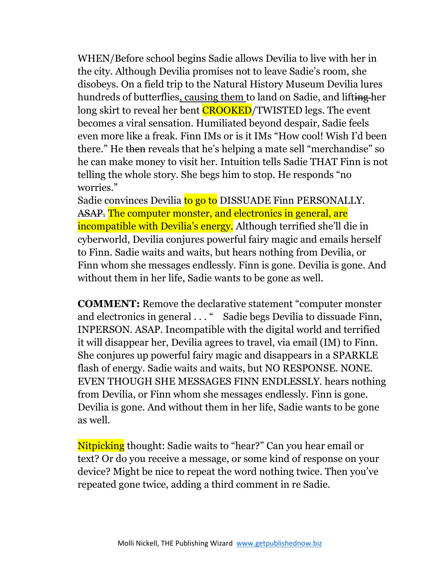WHEN/Before school begins Sadie allows Devilia to live with her in the city. Although Devilia promises not to leave Sadie's room, she disobeys. On a field trip to the Natural History Museum Devilia lures hundreds of butterflies, causing them to land on Sadie, and lifting her long skirt to reveal her bent **CROOKED**/TWISTED legs. The event becomes a viral sensation. Humiliated beyond despair, Sadie feels even more like a freak. Finn IMs or is it IMs "How cool! Wish I'd been there." He then reveals that he's helping a mate sell "merchandise" so he can make money to visit her. Intuition tells Sadie THAT Finn is not telling the whole story. She begs him to stop. He responds "no worries."

Sadie convinces Devilia to go to DISSUADE Finn PERSONALLY. ASAP. The computer monster, and electronics in general, are incompatible with Devilia's energy. Although terrified she'll die in cyberworld, Devilia conjures powerful fairy magic and emails herself to Finn. Sadie waits and waits, but hears nothing from Devilia, or Finn whom she messages endlessly. Finn is gone. Devilia is gone. And without them in her life, Sadie wants to be gone as well.

**COMMENT:** Remove the declarative statement "computer monster and electronics in general . . . " Sadie begs Devilia to dissuade Finn, INPERSON. ASAP. Incompatible with the digital world and terrified it will disappear her, Devilia agrees to travel, via email (IM) to Finn. She conjures up powerful fairy magic and disappears in a SPARKLE flash of energy. Sadie waits and waits, but NO RESPONSE. NONE. EVEN THOUGH SHE MESSAGES FINN ENDLESSLY. hears nothing from Devilia, or Finn whom she messages endlessly. Finn is gone. Devilia is gone. And without them in her life, Sadie wants to be gone as well.

Nitpicking thought: Sadie waits to "hear?" Can you hear email or text? Or do you receive a message, or some kind of response on your device? Might be nice to repeat the word nothing twice. Then you've repeated gone twice, adding a third comment in re Sadie.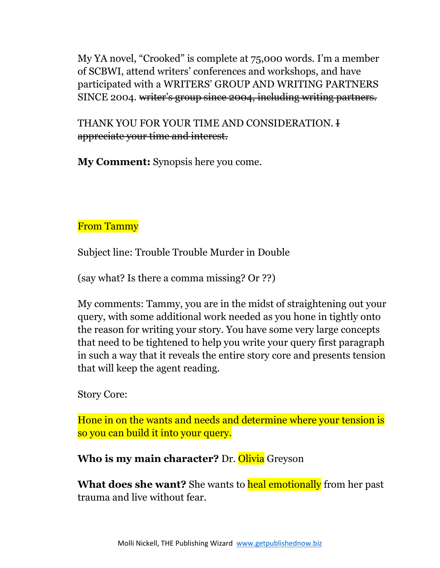My YA novel, "Crooked" is complete at 75,000 words. I'm a member of SCBWI, attend writers' conferences and workshops, and have participated with a WRITERS' GROUP AND WRITING PARTNERS SINCE 2004. writer's group since 2004, including writing partners.

THANK YOU FOR YOUR TIME AND CONSIDERATION. I appreciate your time and interest.

**My Comment:** Synopsis here you come.

# From Tammy

Subject line: Trouble Trouble Murder in Double

(say what? Is there a comma missing? Or ??)

My comments: Tammy, you are in the midst of straightening out your query, with some additional work needed as you hone in tightly onto the reason for writing your story. You have some very large concepts that need to be tightened to help you write your query first paragraph in such a way that it reveals the entire story core and presents tension that will keep the agent reading.

Story Core:

Hone in on the wants and needs and determine where your tension is so you can build it into your query.

**Who is my main character?** Dr. Olivia Greyson

**What does she want?** She wants to **heal emotionally** from her past trauma and live without fear.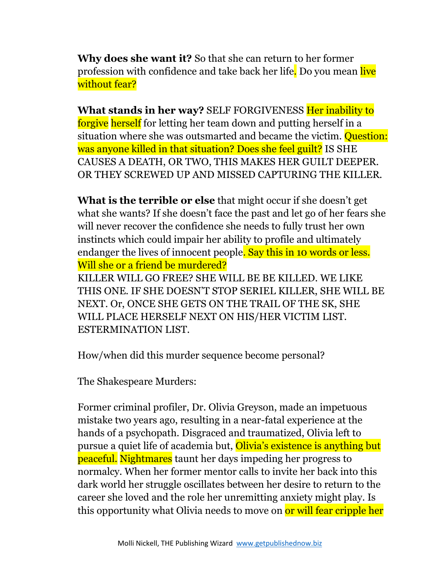**Why does she want it?** So that she can return to her former profession with confidence and take back her life. Do you mean live without fear?

**What stands in her way?** SELF FORGIVENESS Her inability to forgive herself for letting her team down and putting herself in a situation where she was outsmarted and became the victim. **Question:** was anyone killed in that situation? Does she feel guilt? IS SHE CAUSES A DEATH, OR TWO, THIS MAKES HER GUILT DEEPER. OR THEY SCREWED UP AND MISSED CAPTURING THE KILLER.

**What is the terrible or else** that might occur if she doesn't get what she wants? If she doesn't face the past and let go of her fears she will never recover the confidence she needs to fully trust her own instincts which could impair her ability to profile and ultimately endanger the lives of innocent people. Say this in 10 words or less. Will she or a friend be murdered?

KILLER WILL GO FREE? SHE WILL BE BE KILLED. WE LIKE THIS ONE. IF SHE DOESN'T STOP SERIEL KILLER, SHE WILL BE NEXT. Or, ONCE SHE GETS ON THE TRAIL OF THE SK, SHE WILL PLACE HERSELF NEXT ON HIS/HER VICTIM LIST. ESTERMINATION LIST.

How/when did this murder sequence become personal?

The Shakespeare Murders:

Former criminal profiler, Dr. Olivia Greyson, made an impetuous mistake two years ago, resulting in a near-fatal experience at the hands of a psychopath. Disgraced and traumatized, Olivia left to pursue a quiet life of academia but, Olivia's existence is anything but peaceful. Nightmares taunt her days impeding her progress to normalcy. When her former mentor calls to invite her back into this dark world her struggle oscillates between her desire to return to the career she loved and the role her unremitting anxiety might play. Is this opportunity what Olivia needs to move on or will fear cripple her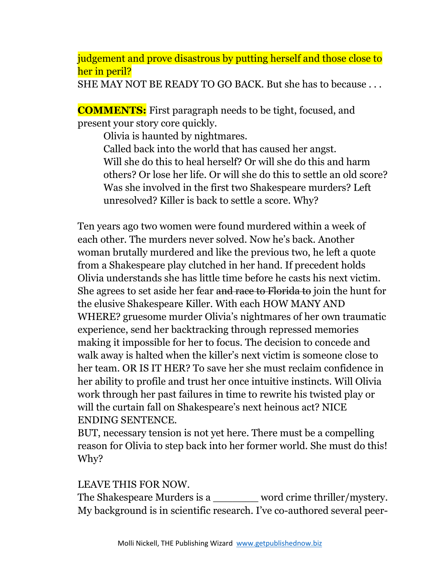judgement and prove disastrous by putting herself and those close to her in peril?

SHE MAY NOT BE READY TO GO BACK. But she has to because . . .

**COMMENTS:** First paragraph needs to be tight, focused, and present your story core quickly.

Olivia is haunted by nightmares. Called back into the world that has caused her angst. Will she do this to heal herself? Or will she do this and harm others? Or lose her life. Or will she do this to settle an old score? Was she involved in the first two Shakespeare murders? Left unresolved? Killer is back to settle a score. Why?

Ten years ago two women were found murdered within a week of each other. The murders never solved. Now he's back. Another woman brutally murdered and like the previous two, he left a quote from a Shakespeare play clutched in her hand. If precedent holds Olivia understands she has little time before he casts his next victim. She agrees to set aside her fear and race to Florida to join the hunt for the elusive Shakespeare Killer. With each HOW MANY AND WHERE? gruesome murder Olivia's nightmares of her own traumatic experience, send her backtracking through repressed memories making it impossible for her to focus. The decision to concede and walk away is halted when the killer's next victim is someone close to her team. OR IS IT HER? To save her she must reclaim confidence in her ability to profile and trust her once intuitive instincts. Will Olivia work through her past failures in time to rewrite his twisted play or will the curtain fall on Shakespeare's next heinous act? NICE ENDING SENTENCE.

BUT, necessary tension is not yet here. There must be a compelling reason for Olivia to step back into her former world. She must do this! Why?

# LEAVE THIS FOR NOW.

The Shakespeare Murders is a \_\_\_\_\_\_\_ word crime thriller/mystery. My background is in scientific research. I've co-authored several peer-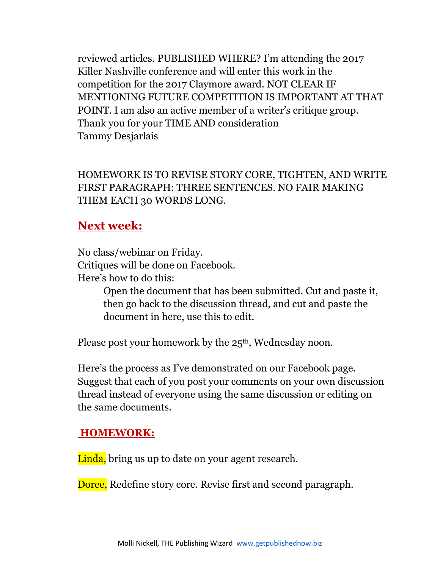reviewed articles. PUBLISHED WHERE? I'm attending the 2017 Killer Nashville conference and will enter this work in the competition for the 2017 Claymore award. NOT CLEAR IF MENTIONING FUTURE COMPETITION IS IMPORTANT AT THAT POINT. I am also an active member of a writer's critique group. Thank you for your TIME AND consideration Tammy Desjarlais

HOMEWORK IS TO REVISE STORY CORE, TIGHTEN, AND WRITE FIRST PARAGRAPH: THREE SENTENCES. NO FAIR MAKING THEM EACH 30 WORDS LONG.

# **Next week:**

No class/webinar on Friday. Critiques will be done on Facebook. Here's how to do this:

> Open the document that has been submitted. Cut and paste it, then go back to the discussion thread, and cut and paste the document in here, use this to edit.

Please post your homework by the 25<sup>th</sup>, Wednesday noon.

Here's the process as I've demonstrated on our Facebook page. Suggest that each of you post your comments on your own discussion thread instead of everyone using the same discussion or editing on the same documents.

#### **HOMEWORK:**

Linda, bring us up to date on your agent research.

Doree, Redefine story core. Revise first and second paragraph.